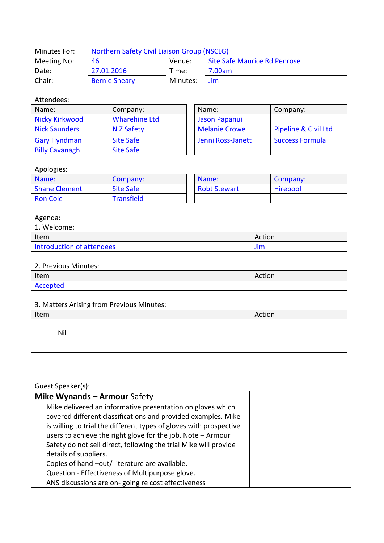| Minutes For: | <b>Northern Safety Civil Liaison Group (NSCLG)</b> |          |                                     |  |
|--------------|----------------------------------------------------|----------|-------------------------------------|--|
| Meeting No:  | 46                                                 | Venue:   | <b>Site Safe Maurice Rd Penrose</b> |  |
| Date:        | 27.01.2016                                         | Time:    | 7.00am                              |  |
| Chair:       | <b>Bernie Sheary</b>                               | Minutes: | <b>Jim</b>                          |  |

### Attendees:

| Name:                 | Company:             | Name:                | Company:                        |
|-----------------------|----------------------|----------------------|---------------------------------|
| Nicky Kirkwood        | <b>Wharehine Ltd</b> | Jason Papanui        |                                 |
| <b>Nick Saunders</b>  | N Z Safety           | <b>Melanie Crowe</b> | <b>Pipeline &amp; Civil Ltd</b> |
| <b>Gary Hyndman</b>   | <b>Site Safe</b>     | Jenni Ross-Janett    | <b>Success Formula</b>          |
| <b>Billy Cavanagh</b> | <b>Site Safe</b>     |                      |                                 |

| Name:                | Company:               |  |
|----------------------|------------------------|--|
| Jason Papanui        |                        |  |
| <b>Melanie Crowe</b> | Pipeline & Civil Ltd   |  |
| Jenni Ross-Janett    | <b>Success Formula</b> |  |
|                      |                        |  |

### Apologies:

| Name:                | Company:          | Name:               | Company: |
|----------------------|-------------------|---------------------|----------|
| <b>Shane Clement</b> | <b>Site Safe</b>  | <b>Robt Stewart</b> | Hirepool |
| <b>Ron Cole</b>      | <b>Transfield</b> |                     |          |

# Agenda:

| Welcome:                  |        |
|---------------------------|--------|
| Item                      | Action |
| Introduction of attendees | Jim    |

#### 2. Previous Minutes:

| Item     | Action |
|----------|--------|
| Accepted |        |

# 3. Matters Arising from Previous Minutes:

| Item | Action |
|------|--------|
| Nil  |        |
|      |        |

# Guest Speaker(s):

| Mike Wynands - Armour Safety                                       |  |
|--------------------------------------------------------------------|--|
| Mike delivered an informative presentation on gloves which         |  |
| covered different classifications and provided examples. Mike      |  |
| is willing to trial the different types of gloves with prospective |  |
| users to achieve the right glove for the job. Note - Armour        |  |
| Safety do not sell direct, following the trial Mike will provide   |  |
| details of suppliers.                                              |  |
| Copies of hand -out/ literature are available.                     |  |
| Question - Effectiveness of Multipurpose glove.                    |  |
| ANS discussions are on-going re cost effectiveness                 |  |